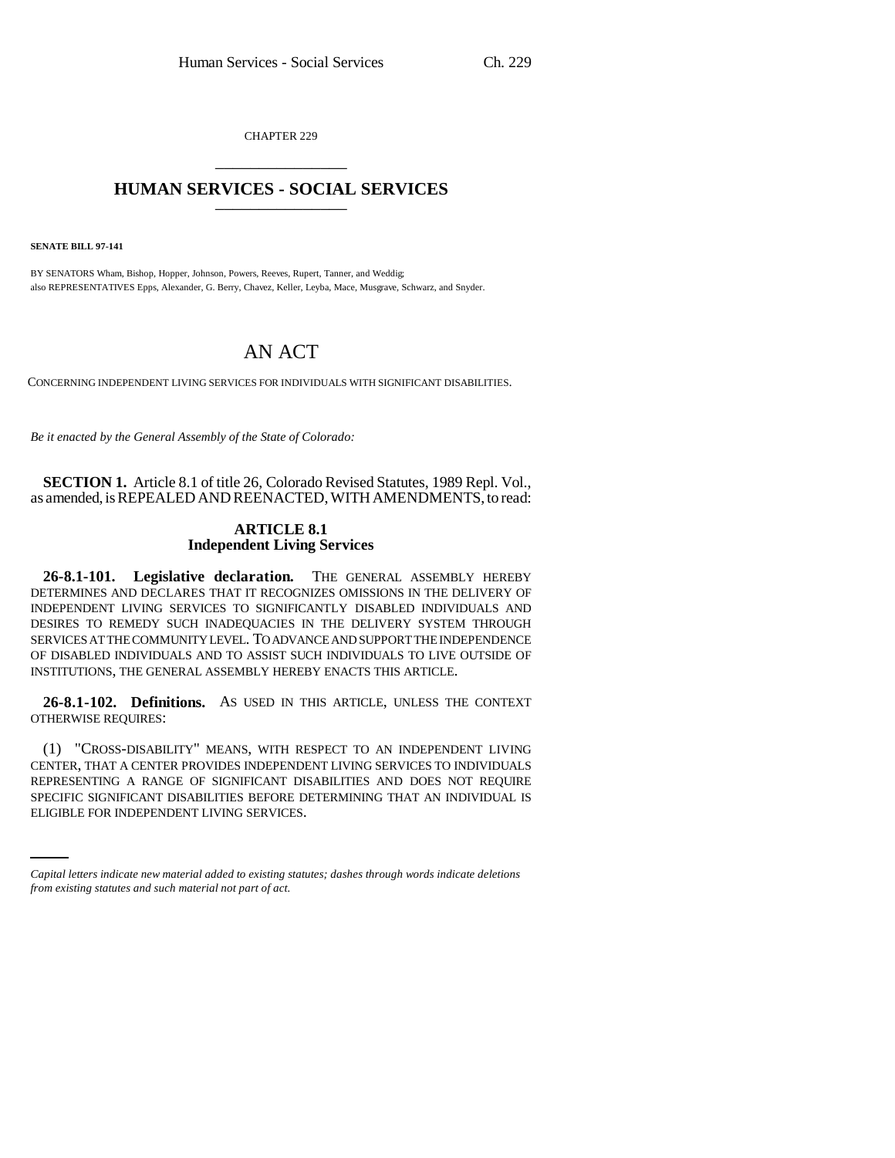CHAPTER 229 \_\_\_\_\_\_\_\_\_\_\_\_\_\_\_

## **HUMAN SERVICES - SOCIAL SERVICES** \_\_\_\_\_\_\_\_\_\_\_\_\_\_\_

**SENATE BILL 97-141**

BY SENATORS Wham, Bishop, Hopper, Johnson, Powers, Reeves, Rupert, Tanner, and Weddig; also REPRESENTATIVES Epps, Alexander, G. Berry, Chavez, Keller, Leyba, Mace, Musgrave, Schwarz, and Snyder.

## AN ACT

CONCERNING INDEPENDENT LIVING SERVICES FOR INDIVIDUALS WITH SIGNIFICANT DISABILITIES.

*Be it enacted by the General Assembly of the State of Colorado:*

**SECTION 1.** Article 8.1 of title 26, Colorado Revised Statutes, 1989 Repl. Vol., as amended, is REPEALED AND REENACTED, WITH AMENDMENTS, to read:

## **ARTICLE 8.1 Independent Living Services**

**26-8.1-101. Legislative declaration.** THE GENERAL ASSEMBLY HEREBY DETERMINES AND DECLARES THAT IT RECOGNIZES OMISSIONS IN THE DELIVERY OF INDEPENDENT LIVING SERVICES TO SIGNIFICANTLY DISABLED INDIVIDUALS AND DESIRES TO REMEDY SUCH INADEQUACIES IN THE DELIVERY SYSTEM THROUGH SERVICES AT THE COMMUNITY LEVEL. TO ADVANCE AND SUPPORT THE INDEPENDENCE OF DISABLED INDIVIDUALS AND TO ASSIST SUCH INDIVIDUALS TO LIVE OUTSIDE OF INSTITUTIONS, THE GENERAL ASSEMBLY HEREBY ENACTS THIS ARTICLE.

**26-8.1-102. Definitions.** AS USED IN THIS ARTICLE, UNLESS THE CONTEXT OTHERWISE REQUIRES:

REPRESENTING A RANGE OF SIGNIFICANT DISABILITIES AND DOES NOT REQUIRE (1) "CROSS-DISABILITY" MEANS, WITH RESPECT TO AN INDEPENDENT LIVING CENTER, THAT A CENTER PROVIDES INDEPENDENT LIVING SERVICES TO INDIVIDUALS SPECIFIC SIGNIFICANT DISABILITIES BEFORE DETERMINING THAT AN INDIVIDUAL IS ELIGIBLE FOR INDEPENDENT LIVING SERVICES.

*Capital letters indicate new material added to existing statutes; dashes through words indicate deletions from existing statutes and such material not part of act.*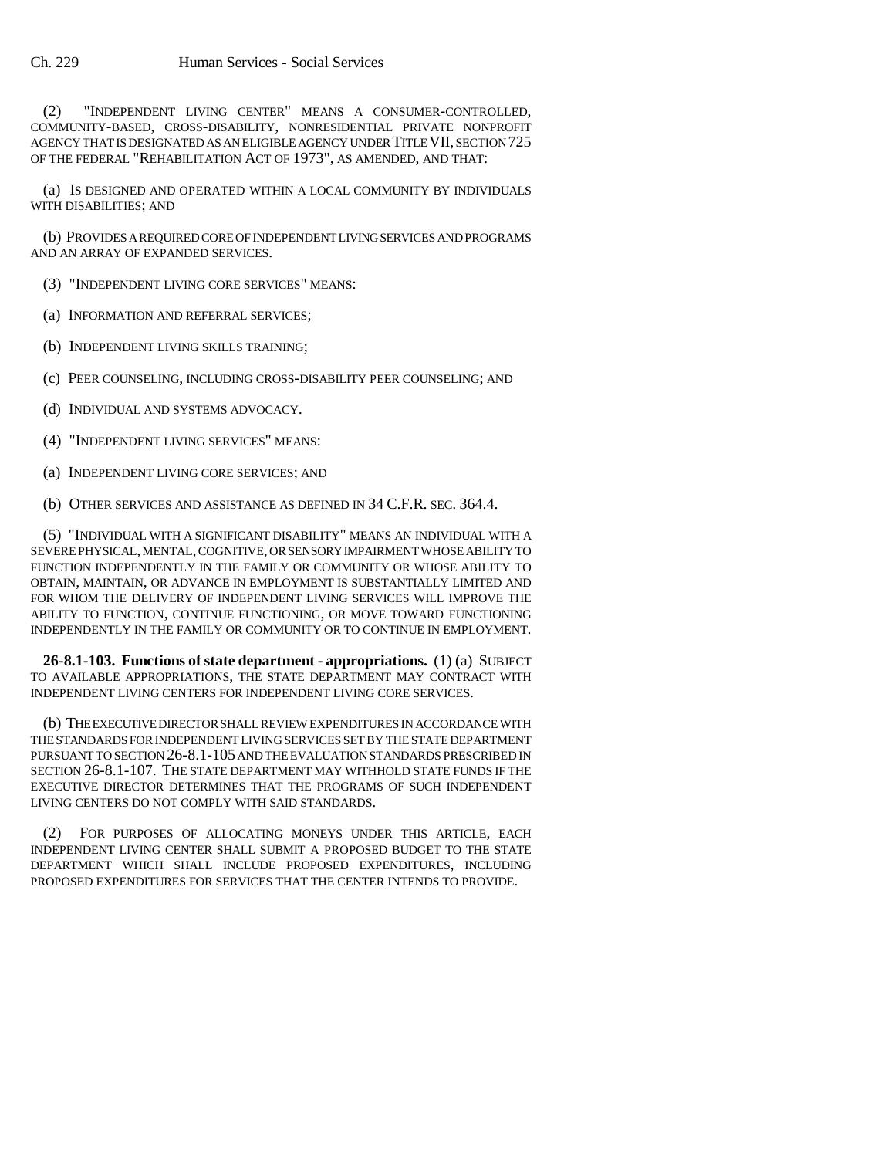(2) "INDEPENDENT LIVING CENTER" MEANS A CONSUMER-CONTROLLED, COMMUNITY-BASED, CROSS-DISABILITY, NONRESIDENTIAL PRIVATE NONPROFIT AGENCY THAT IS DESIGNATED AS AN ELIGIBLE AGENCY UNDER TITLE VII, SECTION 725 OF THE FEDERAL "REHABILITATION ACT OF 1973", AS AMENDED, AND THAT:

(a) IS DESIGNED AND OPERATED WITHIN A LOCAL COMMUNITY BY INDIVIDUALS WITH DISABILITIES; AND

(b) PROVIDES A REQUIRED CORE OF INDEPENDENT LIVING SERVICES AND PROGRAMS AND AN ARRAY OF EXPANDED SERVICES.

(3) "INDEPENDENT LIVING CORE SERVICES" MEANS:

(a) INFORMATION AND REFERRAL SERVICES;

(b) INDEPENDENT LIVING SKILLS TRAINING;

(c) PEER COUNSELING, INCLUDING CROSS-DISABILITY PEER COUNSELING; AND

(d) INDIVIDUAL AND SYSTEMS ADVOCACY.

(4) "INDEPENDENT LIVING SERVICES" MEANS:

(a) INDEPENDENT LIVING CORE SERVICES; AND

(b) OTHER SERVICES AND ASSISTANCE AS DEFINED IN 34 C.F.R. SEC. 364.4.

(5) "INDIVIDUAL WITH A SIGNIFICANT DISABILITY" MEANS AN INDIVIDUAL WITH A SEVERE PHYSICAL, MENTAL, COGNITIVE, OR SENSORY IMPAIRMENT WHOSE ABILITY TO FUNCTION INDEPENDENTLY IN THE FAMILY OR COMMUNITY OR WHOSE ABILITY TO OBTAIN, MAINTAIN, OR ADVANCE IN EMPLOYMENT IS SUBSTANTIALLY LIMITED AND FOR WHOM THE DELIVERY OF INDEPENDENT LIVING SERVICES WILL IMPROVE THE ABILITY TO FUNCTION, CONTINUE FUNCTIONING, OR MOVE TOWARD FUNCTIONING INDEPENDENTLY IN THE FAMILY OR COMMUNITY OR TO CONTINUE IN EMPLOYMENT.

**26-8.1-103. Functions of state department - appropriations.** (1) (a) SUBJECT TO AVAILABLE APPROPRIATIONS, THE STATE DEPARTMENT MAY CONTRACT WITH INDEPENDENT LIVING CENTERS FOR INDEPENDENT LIVING CORE SERVICES.

(b) THE EXECUTIVE DIRECTOR SHALL REVIEW EXPENDITURES IN ACCORDANCE WITH THE STANDARDS FOR INDEPENDENT LIVING SERVICES SET BY THE STATE DEPARTMENT PURSUANT TO SECTION 26-8.1-105 AND THE EVALUATION STANDARDS PRESCRIBED IN SECTION 26-8.1-107. THE STATE DEPARTMENT MAY WITHHOLD STATE FUNDS IF THE EXECUTIVE DIRECTOR DETERMINES THAT THE PROGRAMS OF SUCH INDEPENDENT LIVING CENTERS DO NOT COMPLY WITH SAID STANDARDS.

(2) FOR PURPOSES OF ALLOCATING MONEYS UNDER THIS ARTICLE, EACH INDEPENDENT LIVING CENTER SHALL SUBMIT A PROPOSED BUDGET TO THE STATE DEPARTMENT WHICH SHALL INCLUDE PROPOSED EXPENDITURES, INCLUDING PROPOSED EXPENDITURES FOR SERVICES THAT THE CENTER INTENDS TO PROVIDE.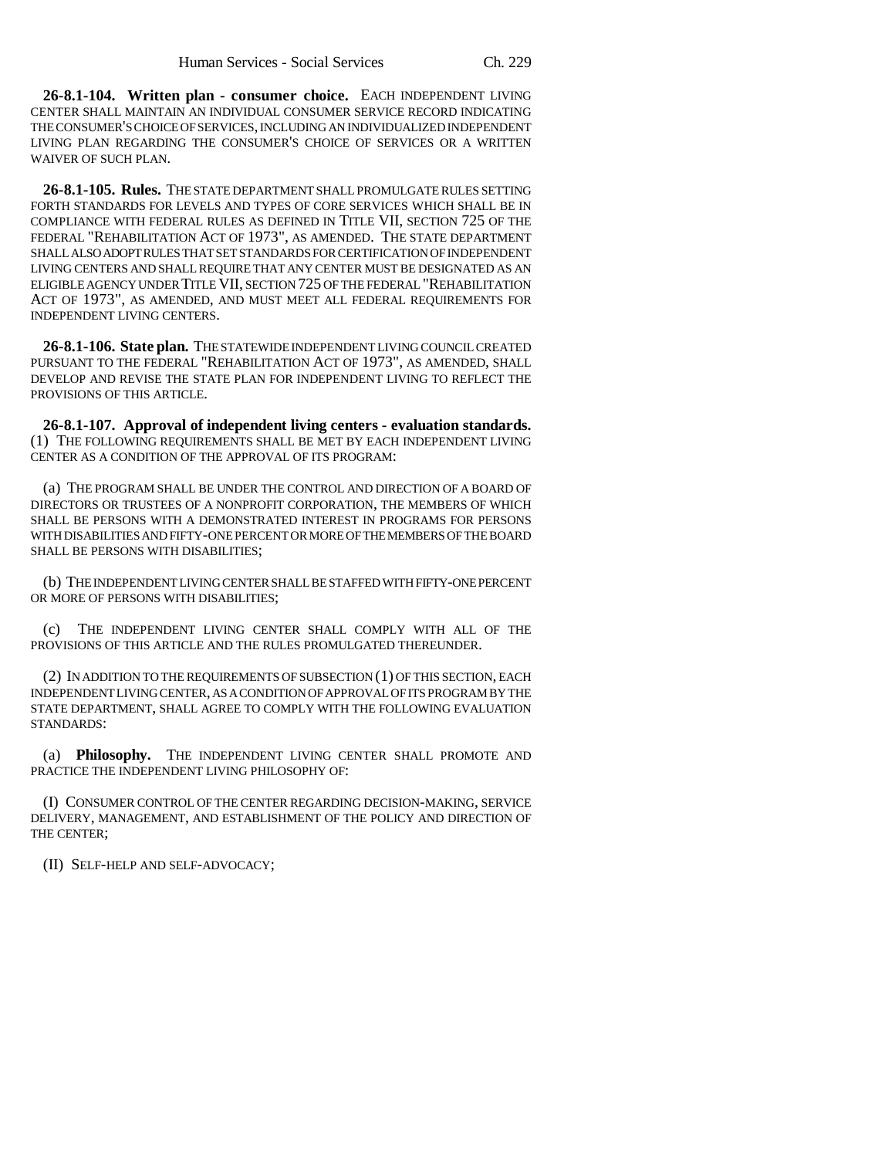**26-8.1-104. Written plan - consumer choice.** EACH INDEPENDENT LIVING CENTER SHALL MAINTAIN AN INDIVIDUAL CONSUMER SERVICE RECORD INDICATING THE CONSUMER'S CHOICE OF SERVICES, INCLUDING AN INDIVIDUALIZED INDEPENDENT LIVING PLAN REGARDING THE CONSUMER'S CHOICE OF SERVICES OR A WRITTEN WAIVER OF SUCH PLAN.

**26-8.1-105. Rules.** THE STATE DEPARTMENT SHALL PROMULGATE RULES SETTING FORTH STANDARDS FOR LEVELS AND TYPES OF CORE SERVICES WHICH SHALL BE IN COMPLIANCE WITH FEDERAL RULES AS DEFINED IN TITLE VII, SECTION 725 OF THE FEDERAL "REHABILITATION ACT OF 1973", AS AMENDED. THE STATE DEPARTMENT SHALL ALSO ADOPT RULES THAT SET STANDARDS FOR CERTIFICATION OF INDEPENDENT LIVING CENTERS AND SHALL REQUIRE THAT ANY CENTER MUST BE DESIGNATED AS AN ELIGIBLE AGENCY UNDER TITLE VII, SECTION 725 OF THE FEDERAL "REHABILITATION ACT OF 1973", AS AMENDED, AND MUST MEET ALL FEDERAL REQUIREMENTS FOR INDEPENDENT LIVING CENTERS.

**26-8.1-106. State plan.** THE STATEWIDE INDEPENDENT LIVING COUNCIL CREATED PURSUANT TO THE FEDERAL "REHABILITATION ACT OF 1973", AS AMENDED, SHALL DEVELOP AND REVISE THE STATE PLAN FOR INDEPENDENT LIVING TO REFLECT THE PROVISIONS OF THIS ARTICLE.

**26-8.1-107. Approval of independent living centers - evaluation standards.** (1) THE FOLLOWING REQUIREMENTS SHALL BE MET BY EACH INDEPENDENT LIVING CENTER AS A CONDITION OF THE APPROVAL OF ITS PROGRAM:

(a) THE PROGRAM SHALL BE UNDER THE CONTROL AND DIRECTION OF A BOARD OF DIRECTORS OR TRUSTEES OF A NONPROFIT CORPORATION, THE MEMBERS OF WHICH SHALL BE PERSONS WITH A DEMONSTRATED INTEREST IN PROGRAMS FOR PERSONS WITH DISABILITIES AND FIFTY-ONE PERCENT OR MORE OF THE MEMBERS OF THE BOARD SHALL BE PERSONS WITH DISABILITIES;

(b) THE INDEPENDENT LIVING CENTER SHALL BE STAFFED WITH FIFTY-ONE PERCENT OR MORE OF PERSONS WITH DISABILITIES;

(c) THE INDEPENDENT LIVING CENTER SHALL COMPLY WITH ALL OF THE PROVISIONS OF THIS ARTICLE AND THE RULES PROMULGATED THEREUNDER.

(2) IN ADDITION TO THE REQUIREMENTS OF SUBSECTION (1) OF THIS SECTION, EACH INDEPENDENT LIVING CENTER, AS A CONDITION OF APPROVAL OF ITS PROGRAM BY THE STATE DEPARTMENT, SHALL AGREE TO COMPLY WITH THE FOLLOWING EVALUATION STANDARDS:

(a) **Philosophy.** THE INDEPENDENT LIVING CENTER SHALL PROMOTE AND PRACTICE THE INDEPENDENT LIVING PHILOSOPHY OF:

(I) CONSUMER CONTROL OF THE CENTER REGARDING DECISION-MAKING, SERVICE DELIVERY, MANAGEMENT, AND ESTABLISHMENT OF THE POLICY AND DIRECTION OF THE CENTER;

(II) SELF-HELP AND SELF-ADVOCACY;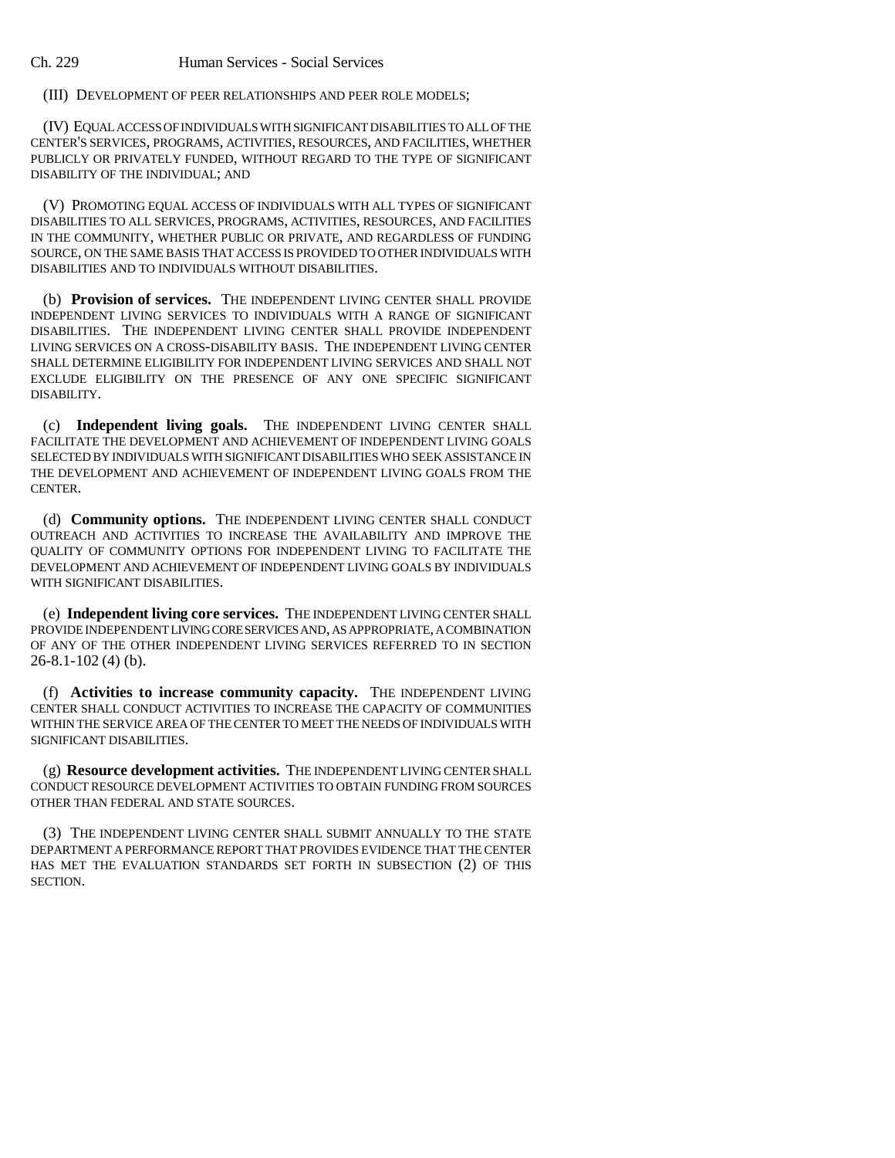(III) DEVELOPMENT OF PEER RELATIONSHIPS AND PEER ROLE MODELS;

(IV) EQUAL ACCESS OF INDIVIDUALS WITH SIGNIFICANT DISABILITIES TO ALL OF THE CENTER'S SERVICES, PROGRAMS, ACTIVITIES, RESOURCES, AND FACILITIES, WHETHER PUBLICLY OR PRIVATELY FUNDED, WITHOUT REGARD TO THE TYPE OF SIGNIFICANT DISABILITY OF THE INDIVIDUAL; AND

(V) PROMOTING EQUAL ACCESS OF INDIVIDUALS WITH ALL TYPES OF SIGNIFICANT DISABILITIES TO ALL SERVICES, PROGRAMS, ACTIVITIES, RESOURCES, AND FACILITIES IN THE COMMUNITY, WHETHER PUBLIC OR PRIVATE, AND REGARDLESS OF FUNDING SOURCE, ON THE SAME BASIS THAT ACCESS IS PROVIDED TO OTHER INDIVIDUALS WITH DISABILITIES AND TO INDIVIDUALS WITHOUT DISABILITIES.

(b) **Provision of services.** THE INDEPENDENT LIVING CENTER SHALL PROVIDE INDEPENDENT LIVING SERVICES TO INDIVIDUALS WITH A RANGE OF SIGNIFICANT DISABILITIES. THE INDEPENDENT LIVING CENTER SHALL PROVIDE INDEPENDENT LIVING SERVICES ON A CROSS-DISABILITY BASIS. THE INDEPENDENT LIVING CENTER SHALL DETERMINE ELIGIBILITY FOR INDEPENDENT LIVING SERVICES AND SHALL NOT EXCLUDE ELIGIBILITY ON THE PRESENCE OF ANY ONE SPECIFIC SIGNIFICANT DISABILITY.

(c) **Independent living goals.** THE INDEPENDENT LIVING CENTER SHALL FACILITATE THE DEVELOPMENT AND ACHIEVEMENT OF INDEPENDENT LIVING GOALS SELECTED BY INDIVIDUALS WITH SIGNIFICANT DISABILITIES WHO SEEK ASSISTANCE IN THE DEVELOPMENT AND ACHIEVEMENT OF INDEPENDENT LIVING GOALS FROM THE CENTER.

(d) **Community options.** THE INDEPENDENT LIVING CENTER SHALL CONDUCT OUTREACH AND ACTIVITIES TO INCREASE THE AVAILABILITY AND IMPROVE THE QUALITY OF COMMUNITY OPTIONS FOR INDEPENDENT LIVING TO FACILITATE THE DEVELOPMENT AND ACHIEVEMENT OF INDEPENDENT LIVING GOALS BY INDIVIDUALS WITH SIGNIFICANT DISABILITIES.

(e) **Independent living core services.** THE INDEPENDENT LIVING CENTER SHALL PROVIDE INDEPENDENT LIVING CORE SERVICES AND, AS APPROPRIATE, A COMBINATION OF ANY OF THE OTHER INDEPENDENT LIVING SERVICES REFERRED TO IN SECTION 26-8.1-102 (4) (b).

(f) **Activities to increase community capacity.** THE INDEPENDENT LIVING CENTER SHALL CONDUCT ACTIVITIES TO INCREASE THE CAPACITY OF COMMUNITIES WITHIN THE SERVICE AREA OF THE CENTER TO MEET THE NEEDS OF INDIVIDUALS WITH SIGNIFICANT DISABILITIES.

(g) **Resource development activities.** THE INDEPENDENT LIVING CENTER SHALL CONDUCT RESOURCE DEVELOPMENT ACTIVITIES TO OBTAIN FUNDING FROM SOURCES OTHER THAN FEDERAL AND STATE SOURCES.

(3) THE INDEPENDENT LIVING CENTER SHALL SUBMIT ANNUALLY TO THE STATE DEPARTMENT A PERFORMANCE REPORT THAT PROVIDES EVIDENCE THAT THE CENTER HAS MET THE EVALUATION STANDARDS SET FORTH IN SUBSECTION (2) OF THIS SECTION.